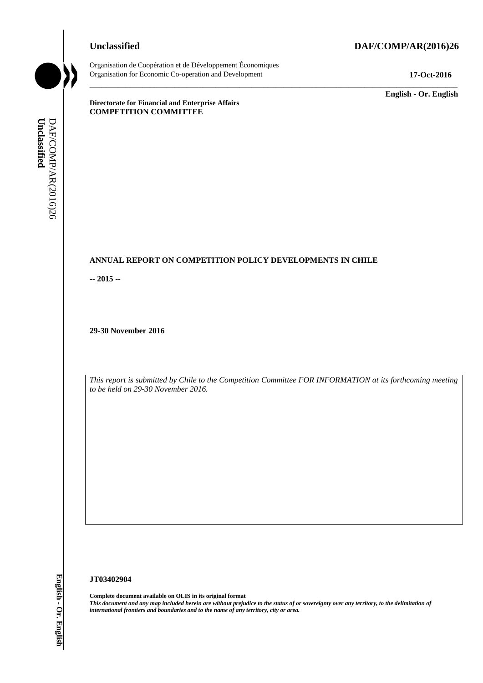# **Unclassified DAF/COMP/AR(2016)26**



Organisation de Coopération et de Développement Économiques Organisation for Economic Co-operation and Development **17-Oct-2016**

\_\_\_\_\_\_\_\_\_\_\_\_\_ **English - Or. English**

**Directorate for Financial and Enterprise Affairs COMPETITION COMMITTEE**

# **ANNUAL REPORT ON COMPETITION POLICY DEVELOPMENTS IN CHILE**

**-- 2015 --**

**29-30 November 2016**

*This report is submitted by Chile to the Competition Committee FOR INFORMATION at its forthcoming meeting to be held on 29-30 November 2016.*

\_\_\_\_\_\_\_\_\_\_\_\_\_\_\_\_\_\_\_\_\_\_\_\_\_\_\_\_\_\_\_\_\_\_\_\_\_\_\_\_\_\_\_\_\_\_\_\_\_\_\_\_\_\_\_\_\_\_\_\_\_\_\_\_\_\_\_\_\_\_\_\_\_\_\_\_\_\_\_\_\_\_\_\_\_\_\_\_\_\_\_

#### **JT03402904**

**Complete document available on OLIS in its original format** *This document and any map included herein are without prejudice to the status of or sovereignty over any territory, to the delimitation of international frontiers and boundaries and to the name of any territory, city or area.* **Unclassified** DAF/COMP/AR(2016)26 **English - Or. English**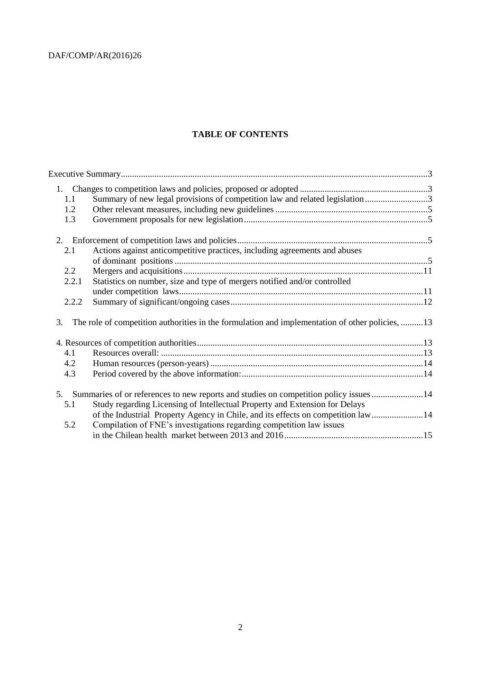# **TABLE OF CONTENTS**

| 1.1   | Summary of new legal provisions of competition law and related legislation3                     |  |
|-------|-------------------------------------------------------------------------------------------------|--|
| 1.2   |                                                                                                 |  |
| 1.3   |                                                                                                 |  |
| 2.    |                                                                                                 |  |
| 2.1   | Actions against anticompetitive practices, including agreements and abuses                      |  |
|       |                                                                                                 |  |
| 2.2   |                                                                                                 |  |
| 2.2.1 | Statistics on number, size and type of mergers notified and/or controlled                       |  |
|       |                                                                                                 |  |
| 2.2.2 |                                                                                                 |  |
| 3.    | The role of competition authorities in the formulation and implementation of other policies, 13 |  |
|       |                                                                                                 |  |
| 4.1   |                                                                                                 |  |
| 4.2   |                                                                                                 |  |
| 4.3   |                                                                                                 |  |
|       | 5. Summaries of or references to new reports and studies on competition policy issues 14        |  |
| 5.1   | Study regarding Licensing of Intellectual Property and Extension for Delays                     |  |
|       | of the Industrial Property Agency in Chile, and its effects on competition law14                |  |
| 5.2   | Compilation of FNE's investigations regarding competition law issues                            |  |
|       |                                                                                                 |  |
|       |                                                                                                 |  |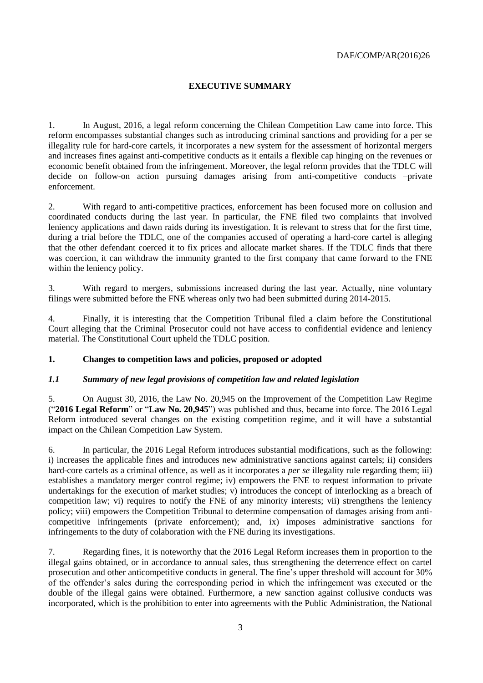# <span id="page-2-0"></span>**EXECUTIVE SUMMARY**

1. In August, 2016, a legal reform concerning the Chilean Competition Law came into force. This reform encompasses substantial changes such as introducing criminal sanctions and providing for a per se illegality rule for hard-core cartels, it incorporates a new system for the assessment of horizontal mergers and increases fines against anti-competitive conducts as it entails a flexible cap hinging on the revenues or economic benefit obtained from the infringement. Moreover, the legal reform provides that the TDLC will decide on follow-on action pursuing damages arising from anti-competitive conducts –private enforcement.

2. With regard to anti-competitive practices, enforcement has been focused more on collusion and coordinated conducts during the last year. In particular, the FNE filed two complaints that involved leniency applications and dawn raids during its investigation. It is relevant to stress that for the first time, during a trial before the TDLC, one of the companies accused of operating a hard-core cartel is alleging that the other defendant coerced it to fix prices and allocate market shares. If the TDLC finds that there was coercion, it can withdraw the immunity granted to the first company that came forward to the FNE within the leniency policy.

3. With regard to mergers, submissions increased during the last year. Actually, nine voluntary filings were submitted before the FNE whereas only two had been submitted during 2014-2015.

4. Finally, it is interesting that the Competition Tribunal filed a claim before the Constitutional Court alleging that the Criminal Prosecutor could not have access to confidential evidence and leniency material. The Constitutional Court upheld the TDLC position.

## <span id="page-2-1"></span>**1. Changes to competition laws and policies, proposed or adopted**

## <span id="page-2-2"></span>*1.1 Summary of new legal provisions of competition law and related legislation*

5. On August 30, 2016, the Law No. 20,945 on the Improvement of the Competition Law Regime ("**2016 Legal Reform**" or "**Law No. 20,945**") was published and thus, became into force. The 2016 Legal Reform introduced several changes on the existing competition regime, and it will have a substantial impact on the Chilean Competition Law System.

6. In particular, the 2016 Legal Reform introduces substantial modifications, such as the following: i) increases the applicable fines and introduces new administrative sanctions against cartels; ii) considers hard-core cartels as a criminal offence, as well as it incorporates a *per se* illegality rule regarding them; iii) establishes a mandatory merger control regime; iv) empowers the FNE to request information to private undertakings for the execution of market studies; v) introduces the concept of interlocking as a breach of competition law; vi) requires to notify the FNE of any minority interests; vii) strengthens the leniency policy; viii) empowers the Competition Tribunal to determine compensation of damages arising from anticompetitive infringements (private enforcement); and, ix) imposes administrative sanctions for infringements to the duty of colaboration with the FNE during its investigations.

7. Regarding fines, it is noteworthy that the 2016 Legal Reform increases them in proportion to the illegal gains obtained, or in accordance to annual sales, thus strengthening the deterrence effect on cartel prosecution and other anticompetitive conducts in general. The fine's upper threshold will account for 30% of the offender's sales during the corresponding period in which the infringement was executed or the double of the illegal gains were obtained. Furthermore, a new sanction against collusive conducts was incorporated, which is the prohibition to enter into agreements with the Public Administration, the National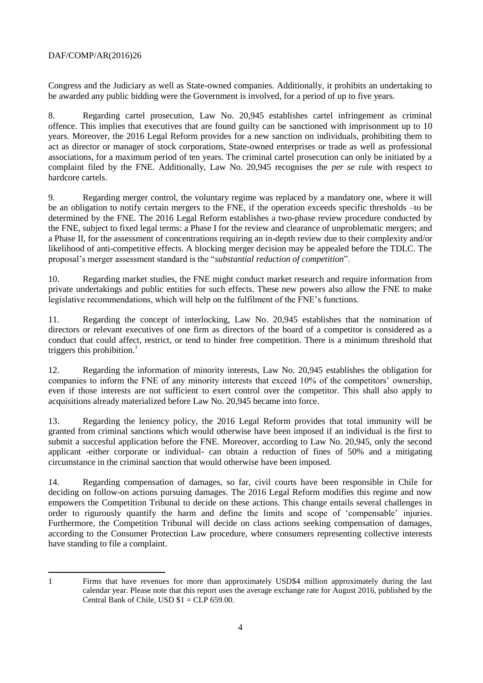Congress and the Judiciary as well as State-owned companies. Additionally, it prohibits an undertaking to be awarded any public bidding were the Government is involved, for a period of up to five years.

8. Regarding cartel prosecution, Law No. 20,945 establishes cartel infringement as criminal offence. This implies that executives that are found guilty can be sanctioned with imprisonment up to 10 years. Moreover, the 2016 Legal Reform provides for a new sanction on individuals, prohibiting them to act as director or manager of stock corporations, State-owned enterprises or trade as well as professional associations, for a maximum period of ten years. The criminal cartel prosecution can only be initiated by a complaint filed by the FNE. Additionally, Law No. 20,945 recognises the *per se* rule with respect to hardcore cartels.

9. Regarding merger control, the voluntary regime was replaced by a mandatory one, where it will be an obligation to notify certain mergers to the FNE, if the operation exceeds specific thresholds –to be determined by the FNE. The 2016 Legal Reform establishes a two-phase review procedure conducted by the FNE, subject to fixed legal terms: a Phase I for the review and clearance of unproblematic mergers; and a Phase II, for the assessment of concentrations requiring an in-depth review due to their complexity and/or likelihood of anti-competitive effects. A blocking merger decision may be appealed before the TDLC. The proposal's merger assessment standard is the "*substantial reduction of competition*".

10. Regarding market studies, the FNE might conduct market research and require information from private undertakings and public entities for such effects. These new powers also allow the FNE to make legislative recommendations, which will help on the fulfilment of the FNE's functions.

11. Regarding the concept of interlocking, Law No. 20,945 establishes that the nomination of directors or relevant executives of one firm as directors of the board of a competitor is considered as a conduct that could affect, restrict, or tend to hinder free competition. There is a minimum threshold that triggers this prohibition.<sup>1</sup>

12. Regarding the information of minority interests, Law No. 20,945 establishes the obligation for companies to inform the FNE of any minority interests that exceed 10% of the competitors' ownership, even if those interests are not sufficient to exert control over the competitor. This shall also apply to acquisitions already materialized before Law No. 20,945 became into force.

13. Regarding the leniency policy, the 2016 Legal Reform provides that total immunity will be granted from criminal sanctions which would otherwise have been imposed if an individual is the first to submit a succesful application before the FNE. Moreover, according to Law No. 20,945, only the second applicant -either corporate or individual- can obtain a reduction of fines of 50% and a mitigating circumstance in the criminal sanction that would otherwise have been imposed.

14. Regarding compensation of damages, so far, civil courts have been responsible in Chile for deciding on follow-on actions pursuing damages. The 2016 Legal Reform modifies this regime and now empowers the Competition Tribunal to decide on these actions. This change entails several challenges in order to rigurously quantify the harm and define the limits and scope of 'compensable' injuries. Furthermore, the Competition Tribunal will decide on class actions seeking compensation of damages, according to the Consumer Protection Law procedure, where consumers representing collective interests have standing to file a complaint.

l

<sup>1</sup> Firms that have revenues for more than approximately USD\$4 million approximately during the last calendar year. Please note that this report uses the average exchange rate for August 2016, published by the Central Bank of Chile, USD  $$1 = CLP 659.00$ .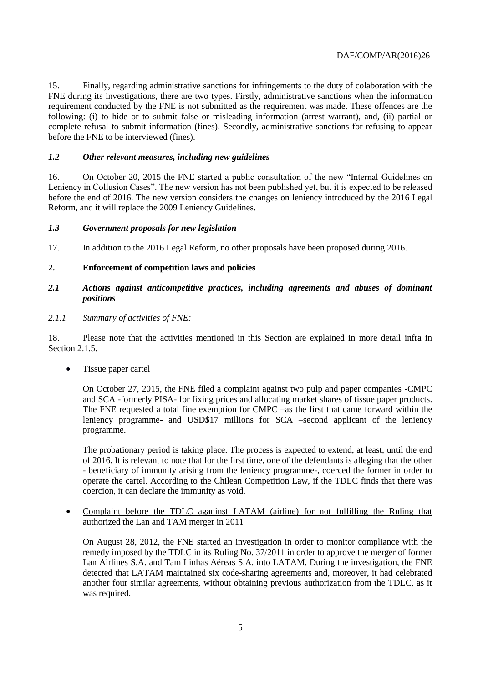15. Finally, regarding administrative sanctions for infringements to the duty of colaboration with the FNE during its investigations, there are two types. Firstly, administrative sanctions when the information requirement conducted by the FNE is not submitted as the requirement was made. These offences are the following: (i) to hide or to submit false or misleading information (arrest warrant), and, (ii) partial or complete refusal to submit information (fines). Secondly, administrative sanctions for refusing to appear before the FNE to be interviewed (fines).

# <span id="page-4-0"></span>*1.2 Other relevant measures, including new guidelines*

16. On October 20, 2015 the FNE started a public consultation of the new "Internal Guidelines on Leniency in Collusion Cases". The new version has not been published yet, but it is expected to be released before the end of 2016. The new version considers the changes on leniency introduced by the 2016 Legal Reform, and it will replace the 2009 Leniency Guidelines.

## <span id="page-4-1"></span>*1.3 Government proposals for new legislation*

17. In addition to the 2016 Legal Reform, no other proposals have been proposed during 2016.

# <span id="page-4-2"></span>**2. Enforcement of competition laws and policies**

# <span id="page-4-3"></span>*2.1 Actions against anticompetitive practices, including agreements and abuses of dominant positions*

## *2.1.1 Summary of activities of FNE:*

18. Please note that the activities mentioned in this Section are explained in more detail infra in Section 2.1.5.

• Tissue paper cartel

On October 27, 2015, the FNE filed a complaint against two pulp and paper companies -CMPC and SCA -formerly PISA- for fixing prices and allocating market shares of tissue paper products. The FNE requested a total fine exemption for CMPC –as the first that came forward within the leniency programme- and USD\$17 millions for SCA –second applicant of the leniency programme.

The probationary period is taking place. The process is expected to extend, at least, until the end of 2016. It is relevant to note that for the first time, one of the defendants is alleging that the other - beneficiary of immunity arising from the leniency programme-, coerced the former in order to operate the cartel. According to the Chilean Competition Law, if the TDLC finds that there was coercion, it can declare the immunity as void.

 Complaint before the TDLC aganinst LATAM (airline) for not fulfilling the Ruling that authorized the Lan and TAM merger in 2011

On August 28, 2012, the FNE started an investigation in order to monitor compliance with the remedy imposed by the TDLC in its Ruling No. 37/2011 in order to approve the merger of former Lan Airlines S.A. and Tam Linhas Aéreas S.A. into LATAM. During the investigation, the FNE detected that LATAM maintained six code-sharing agreements and, moreover, it had celebrated another four similar agreements, without obtaining previous authorization from the TDLC, as it was required.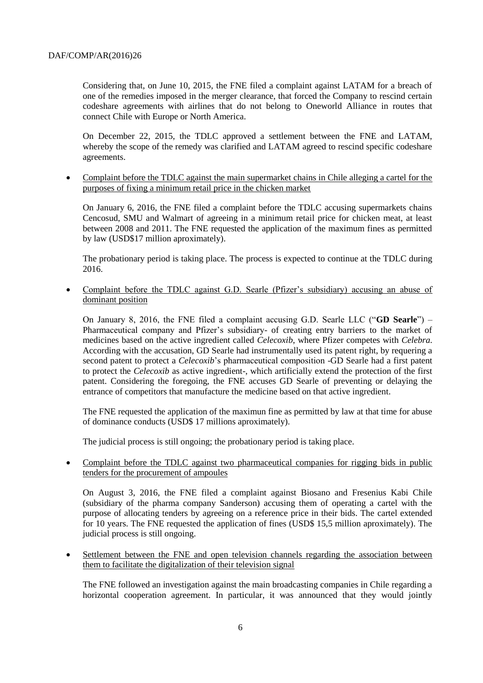Considering that, on June 10, 2015, the FNE filed a complaint against LATAM for a breach of one of the remedies imposed in the merger clearance, that forced the Company to rescind certain codeshare agreements with airlines that do not belong to Oneworld Alliance in routes that connect Chile with Europe or North America.

On December 22, 2015, the TDLC approved a settlement between the FNE and LATAM, whereby the scope of the remedy was clarified and LATAM agreed to rescind specific codeshare agreements.

 Complaint before the TDLC against the main supermarket chains in Chile alleging a cartel for the purposes of fixing a minimum retail price in the chicken market

On January 6, 2016, the FNE filed a complaint before the TDLC accusing supermarkets chains Cencosud, SMU and Walmart of agreeing in a minimum retail price for chicken meat, at least between 2008 and 2011. The FNE requested the application of the maximum fines as permitted by law (USD\$17 million aproximately).

The probationary period is taking place. The process is expected to continue at the TDLC during 2016.

 Complaint before the TDLC against G.D. Searle (Pfizer's subsidiary) accusing an abuse of dominant position

On January 8, 2016, the FNE filed a complaint accusing G.D. Searle LLC ("**GD Searle**") – Pharmaceutical company and Pfizer's subsidiary- of creating entry barriers to the market of medicines based on the active ingredient called *Celecoxib*, where Pfizer competes with *Celebra*. According with the accusation, GD Searle had instrumentally used its patent right, by requering a second patent to protect a *Celecoxib*'s pharmaceutical composition -GD Searle had a first patent to protect the *Celecoxib* as active ingredient-, which artificially extend the protection of the first patent. Considering the foregoing, the FNE accuses GD Searle of preventing or delaying the entrance of competitors that manufacture the medicine based on that active ingredient.

The FNE requested the application of the maximun fine as permitted by law at that time for abuse of dominance conducts (USD\$ 17 millions aproximately).

The judicial process is still ongoing; the probationary period is taking place.

• Complaint before the TDLC against two pharmaceutical companies for rigging bids in public tenders for the procurement of ampoules

On August 3, 2016, the FNE filed a complaint against Biosano and Fresenius Kabi Chile (subsidiary of the pharma company Sanderson) accusing them of operating a cartel with the purpose of allocating tenders by agreeing on a reference price in their bids. The cartel extended for 10 years. The FNE requested the application of fines (USD\$ 15,5 million aproximately). The judicial process is still ongoing.

 Settlement between the FNE and open television channels regarding the association between them to facilitate the digitalization of their television signal

The FNE followed an investigation against the main broadcasting companies in Chile regarding a horizontal cooperation agreement. In particular, it was announced that they would jointly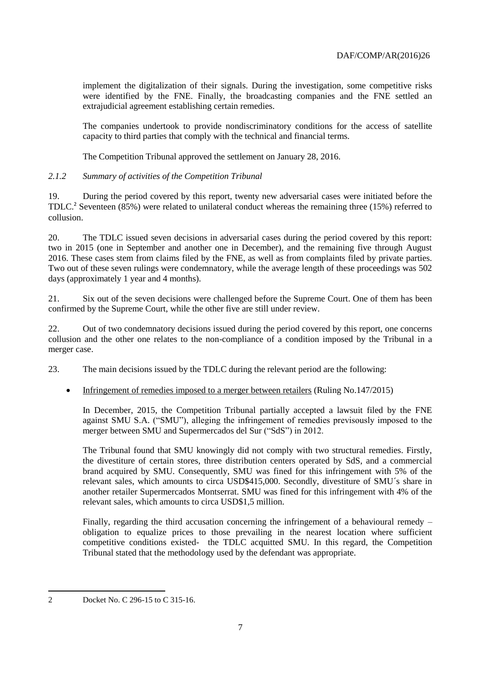implement the digitalization of their signals. During the investigation, some competitive risks were identified by the FNE. Finally, the broadcasting companies and the FNE settled an extrajudicial agreement establishing certain remedies.

The companies undertook to provide nondiscriminatory conditions for the access of satellite capacity to third parties that comply with the technical and financial terms.

The Competition Tribunal approved the settlement on January 28, 2016.

# *2.1.2 Summary of activities of the Competition Tribunal*

19. During the period covered by this report, twenty new adversarial cases were initiated before the TDLC.<sup>2</sup> Seventeen (85%) were related to unilateral conduct whereas the remaining three (15%) referred to collusion.

20. The TDLC issued seven decisions in adversarial cases during the period covered by this report: two in 2015 (one in September and another one in December), and the remaining five through August 2016. These cases stem from claims filed by the FNE, as well as from complaints filed by private parties. Two out of these seven rulings were condemnatory, while the average length of these proceedings was 502 days (approximately 1 year and 4 months).

21. Six out of the seven decisions were challenged before the Supreme Court. One of them has been confirmed by the Supreme Court, while the other five are still under review.

22. Out of two condemnatory decisions issued during the period covered by this report, one concerns collusion and the other one relates to the non-compliance of a condition imposed by the Tribunal in a merger case.

23. The main decisions issued by the TDLC during the relevant period are the following:

• Infringement of remedies imposed to a merger between retailers (Ruling No.147/2015)

In December, 2015, the Competition Tribunal partially accepted a lawsuit filed by the FNE against SMU S.A. ("SMU"), alleging the infringement of remedies previsously imposed to the merger between SMU and Supermercados del Sur ("SdS") in 2012.

The Tribunal found that SMU knowingly did not comply with two structural remedies. Firstly, the divestiture of certain stores, three distribution centers operated by SdS, and a commercial brand acquired by SMU. Consequently, SMU was fined for this infringement with 5% of the relevant sales, which amounts to circa USD\$415,000. Secondly, divestiture of SMU´s share in another retailer Supermercados Montserrat. SMU was fined for this infringement with 4% of the relevant sales, which amounts to circa USD\$1,5 million.

Finally, regarding the third accusation concerning the infringement of a behavioural remedy – obligation to equalize prices to those prevailing in the nearest location where sufficient competitive conditions existed- the TDLC acquitted SMU. In this regard, the Competition Tribunal stated that the methodology used by the defendant was appropriate.

l

<sup>2</sup> Docket No. C 296-15 to C 315-16.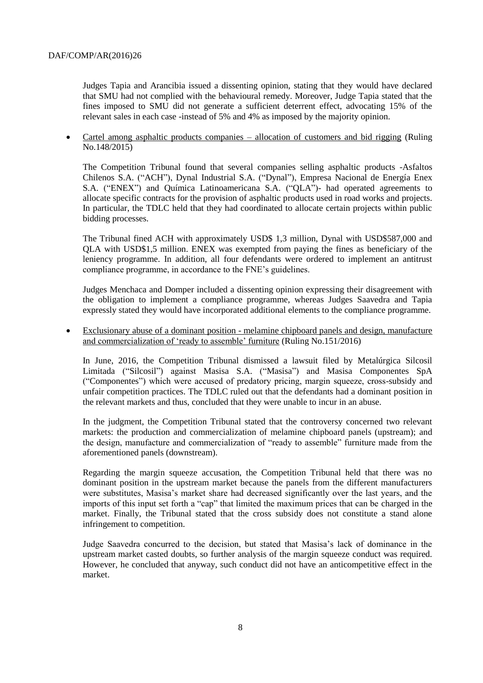Judges Tapia and Arancibia issued a dissenting opinion, stating that they would have declared that SMU had not complied with the behavioural remedy. Moreover, Judge Tapia stated that the fines imposed to SMU did not generate a sufficient deterrent effect, advocating 15% of the relevant sales in each case -instead of 5% and 4% as imposed by the majority opinion.

 Cartel among asphaltic products companies – allocation of customers and bid rigging (Ruling No.148/2015)

The Competition Tribunal found that several companies selling asphaltic products -Asfaltos Chilenos S.A. ("ACH"), Dynal Industrial S.A. ("Dynal"), Empresa Nacional de Energía Enex S.A. ("ENEX") and Química Latinoamericana S.A. ("QLA")- had operated agreements to allocate specific contracts for the provision of asphaltic products used in road works and projects. In particular, the TDLC held that they had coordinated to allocate certain projects within public bidding processes.

The Tribunal fined ACH with approximately USD\$ 1,3 million, Dynal with USD\$587,000 and QLA with USD\$1,5 million. ENEX was exempted from paying the fines as beneficiary of the leniency programme. In addition, all four defendants were ordered to implement an antitrust compliance programme, in accordance to the FNE's guidelines.

Judges Menchaca and Domper included a dissenting opinion expressing their disagreement with the obligation to implement a compliance programme, whereas Judges Saavedra and Tapia expressly stated they would have incorporated additional elements to the compliance programme.

 Exclusionary abuse of a dominant position - melamine chipboard panels and design, manufacture and commercialization of 'ready to assemble' furniture (Ruling No.151/2016)

In June, 2016, the Competition Tribunal dismissed a lawsuit filed by Metalúrgica Silcosil Limitada ("Silcosil") against Masisa S.A. ("Masisa") and Masisa Componentes SpA ("Componentes") which were accused of predatory pricing, margin squeeze, cross-subsidy and unfair competition practices. The TDLC ruled out that the defendants had a dominant position in the relevant markets and thus, concluded that they were unable to incur in an abuse.

In the judgment, the Competition Tribunal stated that the controversy concerned two relevant markets: the production and commercialization of melamine chipboard panels (upstream); and the design, manufacture and commercialization of "ready to assemble" furniture made from the aforementioned panels (downstream).

Regarding the margin squeeze accusation, the Competition Tribunal held that there was no dominant position in the upstream market because the panels from the different manufacturers were substitutes, Masisa's market share had decreased significantly over the last years, and the imports of this input set forth a "cap" that limited the maximum prices that can be charged in the market. Finally, the Tribunal stated that the cross subsidy does not constitute a stand alone infringement to competition.

Judge Saavedra concurred to the decision, but stated that Masisa's lack of dominance in the upstream market casted doubts, so further analysis of the margin squeeze conduct was required. However, he concluded that anyway, such conduct did not have an anticompetitive effect in the market.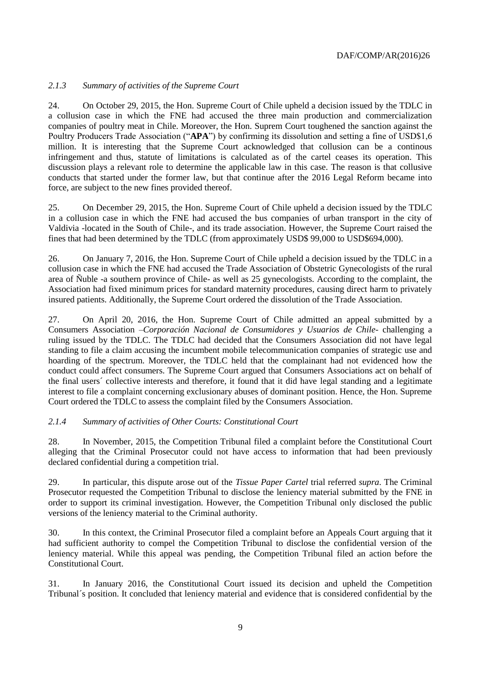# *2.1.3 Summary of activities of the Supreme Court*

24. On October 29, 2015, the Hon. Supreme Court of Chile upheld a decision issued by the TDLC in a collusion case in which the FNE had accused the three main production and commercialization companies of poultry meat in Chile. Moreover, the Hon. Suprem Court toughened the sanction against the Poultry Producers Trade Association ("**APA**") by confirming its dissolution and setting a fine of USD\$1,6 million. It is interesting that the Supreme Court acknowledged that collusion can be a continous infringement and thus, statute of limitations is calculated as of the cartel ceases its operation. This discussion plays a relevant role to determine the applicable law in this case. The reason is that collusive conducts that started under the former law, but that continue after the 2016 Legal Reform became into force, are subject to the new fines provided thereof.

25. On December 29, 2015, the Hon. Supreme Court of Chile upheld a decision issued by the TDLC in a collusion case in which the FNE had accused the bus companies of urban transport in the city of Valdivia -located in the South of Chile-, and its trade association. However, the Supreme Court raised the fines that had been determined by the TDLC (from approximately USD\$ 99,000 to USD\$694,000).

26. On January 7, 2016, the Hon. Supreme Court of Chile upheld a decision issued by the TDLC in a collusion case in which the FNE had accused the Trade Association of Obstetric Gynecologists of the rural area of Ñuble -a southern province of Chile- as well as 25 gynecologists. According to the complaint, the Association had fixed minimum prices for standard maternity procedures, causing direct harm to privately insured patients. Additionally, the Supreme Court ordered the dissolution of the Trade Association.

27. On April 20, 2016, the Hon. Supreme Court of Chile admitted an appeal submitted by a Consumers Association –*Corporación Nacional de Consumidores y Usuarios de Chile-* challenging a ruling issued by the TDLC. The TDLC had decided that the Consumers Association did not have legal standing to file a claim accusing the incumbent mobile telecommunication companies of strategic use and hoarding of the spectrum. Moreover, the TDLC held that the complainant had not evidenced how the conduct could affect consumers. The Supreme Court argued that Consumers Associations act on behalf of the final users´ collective interests and therefore, it found that it did have legal standing and a legitimate interest to file a complaint concerning exclusionary abuses of dominant position. Hence, the Hon. Supreme Court ordered the TDLC to assess the complaint filed by the Consumers Association.

## *2.1.4 Summary of activities of Other Courts: Constitutional Court*

28. In November, 2015, the Competition Tribunal filed a complaint before the Constitutional Court alleging that the Criminal Prosecutor could not have access to information that had been previously declared confidential during a competition trial.

29. In particular, this dispute arose out of the *Tissue Paper Cartel* trial referred *supra*. The Criminal Prosecutor requested the Competition Tribunal to disclose the leniency material submitted by the FNE in order to support its criminal investigation. However, the Competition Tribunal only disclosed the public versions of the leniency material to the Criminal authority.

30. In this context, the Criminal Prosecutor filed a complaint before an Appeals Court arguing that it had sufficient authority to compel the Competition Tribunal to disclose the confidential version of the leniency material. While this appeal was pending, the Competition Tribunal filed an action before the Constitutional Court.

31. In January 2016, the Constitutional Court issued its decision and upheld the Competition Tribunal´s position. It concluded that leniency material and evidence that is considered confidential by the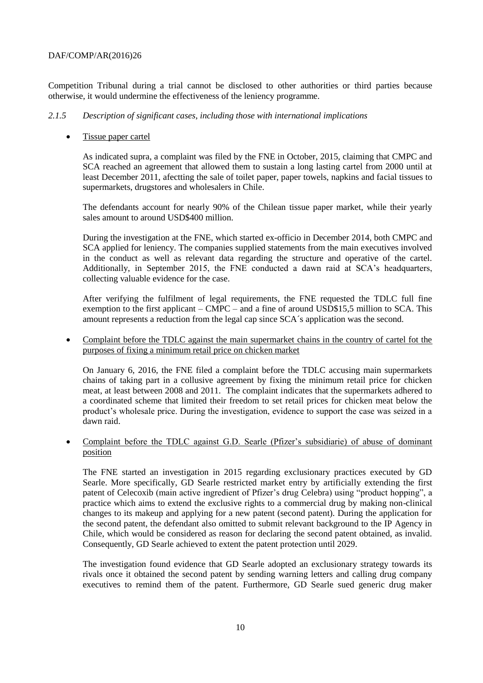Competition Tribunal during a trial cannot be disclosed to other authorities or third parties because otherwise, it would undermine the effectiveness of the leniency programme.

# *2.1.5 Description of significant cases, including those with international implications*

# Tissue paper cartel

As indicated supra, a complaint was filed by the FNE in October, 2015, claiming that CMPC and SCA reached an agreement that allowed them to sustain a long lasting cartel from 2000 until at least December 2011, afectting the sale of toilet paper, paper towels, napkins and facial tissues to supermarkets, drugstores and wholesalers in Chile.

The defendants account for nearly 90% of the Chilean tissue paper market, while their yearly sales amount to around USD\$400 million.

During the investigation at the FNE, which started ex-officio in December 2014, both CMPC and SCA applied for leniency. The companies supplied statements from the main executives involved in the conduct as well as relevant data regarding the structure and operative of the cartel. Additionally, in September 2015, the FNE conducted a dawn raid at SCA's headquarters, collecting valuable evidence for the case.

After verifying the fulfilment of legal requirements, the FNE requested the TDLC full fine exemption to the first applicant – CMPC – and a fine of around USD\$15,5 million to SCA. This amount represents a reduction from the legal cap since SCA´s application was the second.

 Complaint before the TDLC against the main supermarket chains in the country of cartel fot the purposes of fixing a minimum retail price on chicken market

On January 6, 2016, the FNE filed a complaint before the TDLC accusing main supermarkets chains of taking part in a collusive agreement by fixing the minimum retail price for chicken meat, at least between 2008 and 2011. The complaint indicates that the supermarkets adhered to a coordinated scheme that limited their freedom to set retail prices for chicken meat below the product's wholesale price. During the investigation, evidence to support the case was seized in a dawn raid.

# Complaint before the TDLC against G.D. Searle (Pfizer's subsidiarie) of abuse of dominant position

The FNE started an investigation in 2015 regarding exclusionary practices executed by GD Searle. More specifically, GD Searle restricted market entry by artificially extending the first patent of Celecoxib (main active ingredient of Pfizer's drug Celebra) using "product hopping", a practice which aims to extend the exclusive rights to a commercial drug by making non-clinical changes to its makeup and applying for a new patent (second patent). During the application for the second patent, the defendant also omitted to submit relevant background to the IP Agency in Chile, which would be considered as reason for declaring the second patent obtained, as invalid. Consequently, GD Searle achieved to extent the patent protection until 2029.

The investigation found evidence that GD Searle adopted an exclusionary strategy towards its rivals once it obtained the second patent by sending warning letters and calling drug company executives to remind them of the patent. Furthermore, GD Searle sued generic drug maker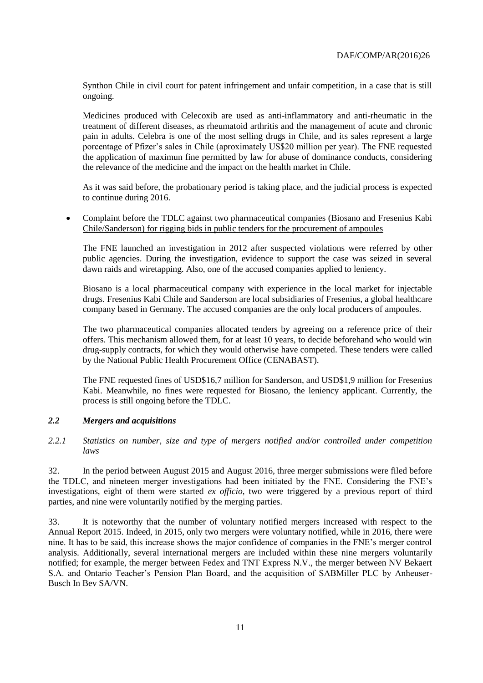Synthon Chile in civil court for patent infringement and unfair competition, in a case that is still ongoing.

Medicines produced with Celecoxib are used as anti-inflammatory and anti-rheumatic in the treatment of different diseases, as rheumatoid arthritis and the management of acute and chronic pain in adults. Celebra is one of the most selling drugs in Chile, and its sales represent a large porcentage of Pfizer's sales in Chile (aproximately US\$20 million per year). The FNE requested the application of maximun fine permitted by law for abuse of dominance conducts, considering the relevance of the medicine and the impact on the health market in Chile.

As it was said before, the probationary period is taking place, and the judicial process is expected to continue during 2016.

 Complaint before the TDLC against two pharmaceutical companies (Biosano and Fresenius Kabi Chile/Sanderson) for rigging bids in public tenders for the procurement of ampoules

The FNE launched an investigation in 2012 after suspected violations were referred by other public agencies. During the investigation, evidence to support the case was seized in several dawn raids and wiretapping. Also, one of the accused companies applied to leniency.

Biosano is a local pharmaceutical company with experience in the local market for injectable drugs. Fresenius Kabi Chile and Sanderson are local subsidiaries of Fresenius, a global healthcare company based in Germany. The accused companies are the only local producers of ampoules.

The two pharmaceutical companies allocated tenders by agreeing on a reference price of their offers. This mechanism allowed them, for at least 10 years, to decide beforehand who would win drug-supply contracts, for which they would otherwise have competed. These tenders were called by the National Public Health Procurement Office (CENABAST).

The FNE requested fines of USD\$16,7 million for Sanderson, and USD\$1,9 million for Fresenius Kabi. Meanwhile, no fines were requested for Biosano, the leniency applicant. Currently, the process is still ongoing before the TDLC.

## <span id="page-10-0"></span>*2.2 Mergers and acquisitions*

<span id="page-10-1"></span>*2.2.1 Statistics on number, size and type of mergers notified and/or controlled under competition laws* 

32. In the period between August 2015 and August 2016, three merger submissions were filed before the TDLC, and nineteen merger investigations had been initiated by the FNE. Considering the FNE's investigations, eight of them were started *ex officio*, two were triggered by a previous report of third parties, and nine were voluntarily notified by the merging parties.

33. It is noteworthy that the number of voluntary notified mergers increased with respect to the Annual Report 2015. Indeed, in 2015, only two mergers were voluntary notified, while in 2016, there were nine. It has to be said, this increase shows the major confidence of companies in the FNE's merger control analysis. Additionally, several international mergers are included within these nine mergers voluntarily notified; for example, the merger between Fedex and TNT Express N.V., the merger between NV Bekaert S.A. and Ontario Teacher's Pension Plan Board, and the acquisition of SABMiller PLC by Anheuser-Busch In Bev SA/VN.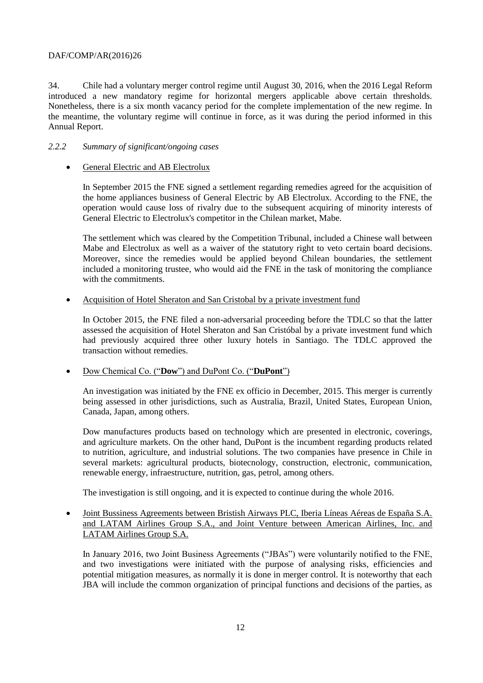34. Chile had a voluntary merger control regime until August 30, 2016, when the 2016 Legal Reform introduced a new mandatory regime for horizontal mergers applicable above certain thresholds. Nonetheless, there is a six month vacancy period for the complete implementation of the new regime. In the meantime, the voluntary regime will continue in force, as it was during the period informed in this Annual Report.

# <span id="page-11-0"></span>*2.2.2 Summary of significant/ongoing cases*

# • General Electric and AB Electrolux

In September 2015 the FNE signed a settlement regarding remedies agreed for the acquisition of the home appliances business of General Electric by AB Electrolux. According to the FNE, the operation would cause loss of rivalry due to the subsequent acquiring of minority interests of General Electric to Electrolux's competitor in the Chilean market, Mabe.

The settlement which was cleared by the Competition Tribunal, included a Chinese wall between Mabe and Electrolux as well as a waiver of the statutory right to veto certain board decisions. Moreover, since the remedies would be applied beyond Chilean boundaries, the settlement included a monitoring trustee, who would aid the FNE in the task of monitoring the compliance with the commitments.

# Acquisition of Hotel Sheraton and San Cristobal by a private investment fund

In October 2015, the FNE filed a non-adversarial proceeding before the TDLC so that the latter assessed the acquisition of Hotel Sheraton and San Cristóbal by a private investment fund which had previously acquired three other luxury hotels in Santiago. The TDLC approved the transaction without remedies.

## Dow Chemical Co. ("**Dow**") and DuPont Co. ("**DuPont**")

An investigation was initiated by the FNE ex officio in December, 2015. This merger is currently being assessed in other jurisdictions, such as Australia, Brazil, United States, European Union, Canada, Japan, among others.

Dow manufactures products based on technology which are presented in electronic, coverings, and agriculture markets. On the other hand, DuPont is the incumbent regarding products related to nutrition, agriculture, and industrial solutions. The two companies have presence in Chile in several markets: agricultural products, biotecnology, construction, electronic, communication, renewable energy, infraestructure, nutrition, gas, petrol, among others.

The investigation is still ongoing, and it is expected to continue during the whole 2016.

 Joint Bussiness Agreements between Bristish Airways PLC, Iberia Líneas Aéreas de España S.A. and LATAM Airlines Group S.A., and Joint Venture between American Airlines, Inc. and LATAM Airlines Group S.A.

In January 2016, two Joint Business Agreements ("JBAs") were voluntarily notified to the FNE, and two investigations were initiated with the purpose of analysing risks, efficiencies and potential mitigation measures, as normally it is done in merger control. It is noteworthy that each JBA will include the common organization of principal functions and decisions of the parties, as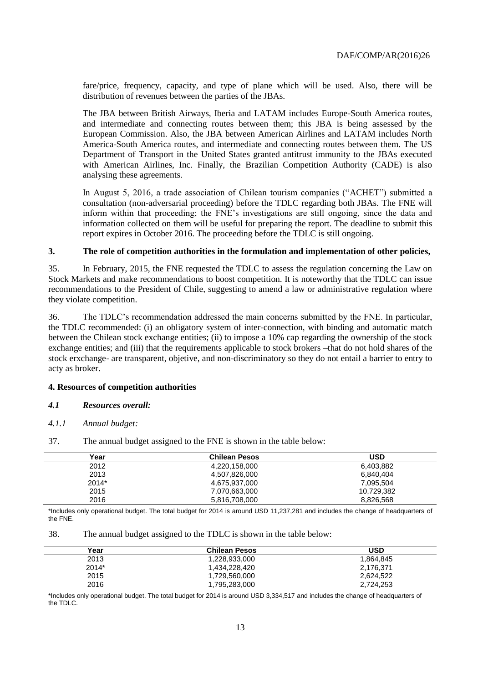fare/price, frequency, capacity, and type of plane which will be used. Also, there will be distribution of revenues between the parties of the JBAs.

The JBA between British Airways, Iberia and LATAM includes Europe-South America routes, and intermediate and connecting routes between them; this JBA is being assessed by the European Commission. Also, the JBA between American Airlines and LATAM includes North America-South America routes, and intermediate and connecting routes between them. The US Department of Transport in the United States granted antitrust immunity to the JBAs executed with American Airlines, Inc. Finally, the Brazilian Competition Authority (CADE) is also analysing these agreements.

In August 5, 2016, a trade association of Chilean tourism companies ("ACHET") submitted a consultation (non-adversarial proceeding) before the TDLC regarding both JBAs. The FNE will inform within that proceeding; the FNE's investigations are still ongoing, since the data and information collected on them will be useful for preparing the report. The deadline to submit this report expires in October 2016. The proceeding before the TDLC is still ongoing.

#### <span id="page-12-0"></span>**3. The role of competition authorities in the formulation and implementation of other policies,**

35. In February, 2015, the FNE requested the TDLC to assess the regulation concerning the Law on Stock Markets and make recommendations to boost competition. It is noteworthy that the TDLC can issue recommendations to the President of Chile, suggesting to amend a law or administrative regulation where they violate competition.

36. The TDLC's recommendation addressed the main concerns submitted by the FNE. In particular, the TDLC recommended: (i) an obligatory system of inter-connection, with binding and automatic match between the Chilean stock exchange entities; (ii) to impose a 10% cap regarding the ownership of the stock exchange entities; and (iii) that the requirements applicable to stock brokers –that do not hold shares of the stock erxchange- are transparent, objetive, and non-discriminatory so they do not entail a barrier to entry to acty as broker.

#### <span id="page-12-1"></span>**4. Resources of competition authorities**

#### <span id="page-12-2"></span>*4.1 Resources overall:*

#### *4.1.1 Annual budget:*

| Year  | <b>Chilean Pesos</b> | <b>USD</b> |
|-------|----------------------|------------|
| 2012  | 4,220,158,000        | 6,403,882  |
| 2013  | 4,507,826,000        | 6,840,404  |
| 2014* | 4,675,937,000        | 7,095,504  |
| 2015  | 7,070,663,000        | 10,729,382 |
| 2016  | 5,816,708,000        | 8,826,568  |

37. The annual budget assigned to the FNE is shown in the table below:

\*Includes only operational budget. The total budget for 2014 is around USD 11,237,281 and includes the change of headquarters of the FNE.

38. The annual budget assigned to the TDLC is shown in the table below:

| Year    | <b>Chilean Pesos</b> | <b>USD</b> |
|---------|----------------------|------------|
| 2013    | 1.228.933.000        | 1.864.845  |
| $2014*$ | 1.434.228.420        | 2.176.371  |
| 2015    | 1.729.560.000        | 2,624,522  |
| 2016    | 1,795,283,000        | 2,724,253  |

\*Includes only operational budget. The total budget for 2014 is around USD 3,334,517 and includes the change of headquarters of the TDLC.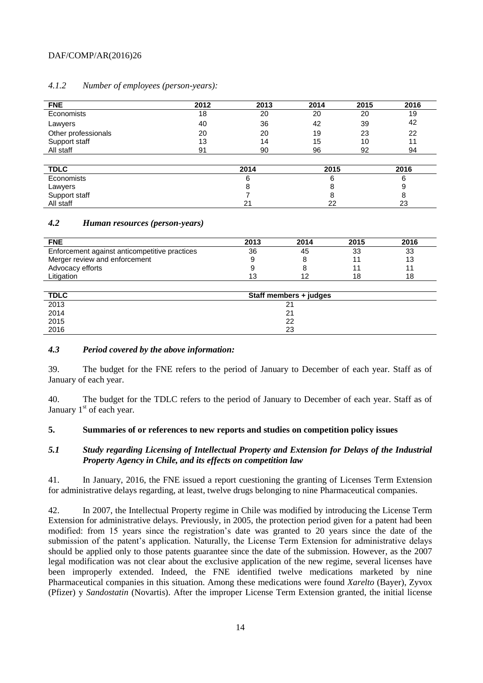| <b>FNE</b>          | 2012 | 2013 | 2014 | 2015 | 2016 |
|---------------------|------|------|------|------|------|
| Economists          | 18   | 20   | 20   | 20   | 19   |
| Lawyers             | 40   | 36   | 42   | 39   | 42   |
| Other professionals | 20   | 20   | 19   | 23   | 22   |
| Support staff       | 13   | 14   | 15   | 10   | 11   |
| All staff           | 91   | 90   | 96   | 92   | 94   |
|                     |      |      |      |      |      |

# *4.1.2 Number of employees (person-years):*

| <b>TDLC</b>                           | 2014  | 2015 | 2016 |
|---------------------------------------|-------|------|------|
| Economists                            |       |      |      |
|                                       |       |      |      |
| Lawyers<br>Support staff<br>All staff |       |      |      |
|                                       | $2^.$ | oc   | 23   |

#### <span id="page-13-0"></span>*4.2 Human resources (person-years)*

| <b>FNE</b>                                    | 2013 | 2014 | 2015 | 2016 |
|-----------------------------------------------|------|------|------|------|
| Enforcement against anticompetitive practices | 36   | 45   | 33   | 33   |
| Merger review and enforcement                 |      |      |      | 13   |
| Advocacy efforts                              |      |      |      |      |
| ∟itiqation                                    |      |      | 18   | 18   |

| <b>TDLC</b>  | Staff members + judges |  |
|--------------|------------------------|--|
| 2013         | $2^{\prime}$           |  |
| 2014         | 2 <sup>1</sup>         |  |
| 2015<br>2016 | 22                     |  |
|              | 23                     |  |

## <span id="page-13-1"></span>*4.3 Period covered by the above information:*

39. The budget for the FNE refers to the period of January to December of each year. Staff as of January of each year.

40. The budget for the TDLC refers to the period of January to December of each year. Staff as of January 1<sup>st</sup> of each year.

#### <span id="page-13-2"></span>**5. Summaries of or references to new reports and studies on competition policy issues**

# <span id="page-13-3"></span>*5.1 Study regarding Licensing of Intellectual Property and Extension for Delays of the Industrial Property Agency in Chile, and its effects on competition law*

41. In January, 2016, the FNE issued a report cuestioning the granting of Licenses Term Extension for administrative delays regarding, at least, twelve drugs belonging to nine Pharmaceutical companies.

42. In 2007, the Intellectual Property regime in Chile was modified by introducing the License Term Extension for administrative delays. Previously, in 2005, the protection period given for a patent had been modified: from 15 years since the registration's date was granted to 20 years since the date of the submission of the patent's application. Naturally, the License Term Extension for administrative delays should be applied only to those patents guarantee since the date of the submission. However, as the 2007 legal modification was not clear about the exclusive application of the new regime, several licenses have been improperly extended. Indeed, the FNE identified twelve medications marketed by nine Pharmaceutical companies in this situation. Among these medications were found *Xarelto* (Bayer), Zyvox (Pfizer) y *Sandostatin* (Novartis). After the improper License Term Extension granted, the initial license